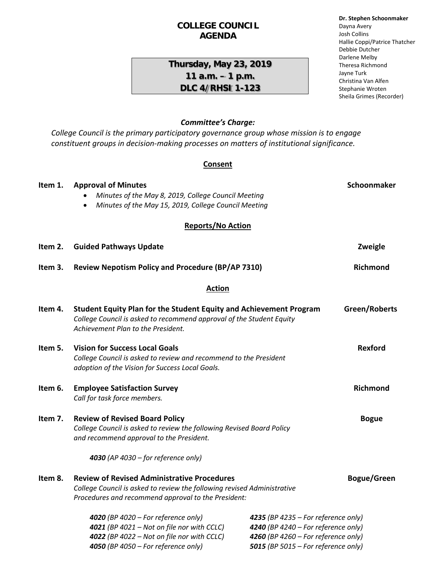### **COLLEGE COUNCIL AGENDA**

## **Thursday, May 23, 2019 11 a.m. – 1 p.m. DLC 4/RHSI 1-123**

# **Dr. Stephen Schoonmaker** Dayna Avery

Josh Collins Hallie Coppi/Patrice Thatcher Debbie Dutcher Darlene Melby Theresa Richmond Jayne Turk Christina Van Alfen Stephanie Wroten Sheila Grimes (Recorder)

### *Committee's Charge:*

*College Council is the primary participatory governance group whose mission is to engage constituent groups in decision-making processes on matters of institutional significance.* 

### **Consent**

| Item 1. | <b>Approval of Minutes</b>                                                                                                                                                              |                                                                                                                   | Schoonmaker        |
|---------|-----------------------------------------------------------------------------------------------------------------------------------------------------------------------------------------|-------------------------------------------------------------------------------------------------------------------|--------------------|
|         | Minutes of the May 8, 2019, College Council Meeting                                                                                                                                     |                                                                                                                   |                    |
|         | Minutes of the May 15, 2019, College Council Meeting<br>$\bullet$                                                                                                                       |                                                                                                                   |                    |
|         | <b>Reports/No Action</b>                                                                                                                                                                |                                                                                                                   |                    |
| Item 2. | <b>Guided Pathways Update</b>                                                                                                                                                           |                                                                                                                   | Zweigle            |
| Item 3. | <b>Review Nepotism Policy and Procedure (BP/AP 7310)</b>                                                                                                                                |                                                                                                                   | <b>Richmond</b>    |
|         | <b>Action</b>                                                                                                                                                                           |                                                                                                                   |                    |
| Item 4. | <b>Student Equity Plan for the Student Equity and Achievement Program</b><br>College Council is asked to recommend approval of the Student Equity<br>Achievement Plan to the President. |                                                                                                                   | Green/Roberts      |
| Item 5. | <b>Vision for Success Local Goals</b><br>College Council is asked to review and recommend to the President<br>adoption of the Vision for Success Local Goals.                           |                                                                                                                   | <b>Rexford</b>     |
| Item 6. | <b>Employee Satisfaction Survey</b><br>Call for task force members.                                                                                                                     |                                                                                                                   | Richmond           |
| Item 7. | <b>Review of Revised Board Policy</b><br>College Council is asked to review the following Revised Board Policy<br>and recommend approval to the President.                              |                                                                                                                   | <b>Bogue</b>       |
|         | 4030 (AP 4030 - for reference only)                                                                                                                                                     |                                                                                                                   |                    |
| Item 8. | <b>Review of Revised Administrative Procedures</b><br>College Council is asked to review the following revised Administrative<br>Procedures and recommend approval to the President:    |                                                                                                                   | <b>Bogue/Green</b> |
|         | 4020 (BP 4020 - For reference only)<br>4021 (BP 4021 - Not on file nor with CCLC)<br>4022 (BP 4022 - Not on file nor with CCLC)                                                         | 4235 (BP 4235 - For reference only)<br>4240 (BP 4240 - For reference only)<br>4260 (BP 4260 – For reference only) |                    |

*4050 (BP 4050 – For reference only) 5015 (BP 5015 – For reference only)*